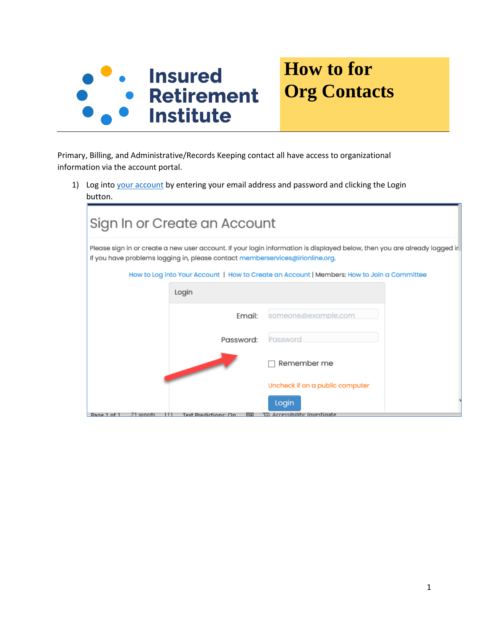

## **How to for Org Contacts**

Primary, Billing, and Administrative/Records Keeping contact all have access to organizational information via the account portal.

1) Log into [your account](https://secure.irionline.org/eweb/) by entering your email address and password and clicking the Login button.

| Sign In or Create an Account                                                                                                                                                                               |                                        |  |  |  |  |  |
|------------------------------------------------------------------------------------------------------------------------------------------------------------------------------------------------------------|----------------------------------------|--|--|--|--|--|
| Please sign in or create a new user account. If your login information is displayed below, then you are already logged ir<br>If you have problems logging in, please contact memberservices@irionline.org. |                                        |  |  |  |  |  |
| How to Log into Your Account   How to Create an Account   Members: How to Join a Committee                                                                                                                 |                                        |  |  |  |  |  |
| Login                                                                                                                                                                                                      |                                        |  |  |  |  |  |
| Email:                                                                                                                                                                                                     | someone@example.com                    |  |  |  |  |  |
| Password:                                                                                                                                                                                                  | Password                               |  |  |  |  |  |
|                                                                                                                                                                                                            | Remember me                            |  |  |  |  |  |
|                                                                                                                                                                                                            | Uncheck if on a public computer        |  |  |  |  |  |
| Page 1 of 1<br><u>21 words</u><br>Text Predictions: On<br>ш<br>lm                                                                                                                                          | Login<br>YZ Accessibility: Investigate |  |  |  |  |  |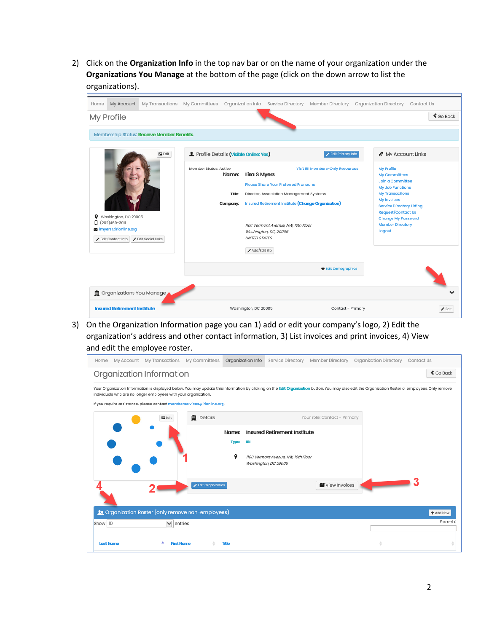2) Click on the **Organization Info** in the top nav bar or on the name of your organization under the **Organizations You Manage** at the bottom of the page (click on the down arrow to list the organizations).

| Home                                                                                                             | My Account                          |                                                                                                                                                                                                                                                                                                                                          |                                       |                      |                                                                                                                                                                                                                         | My Transactions My Committees Organization Info Service Directory Member Directory | Organization Directory Contact Us |                     |
|------------------------------------------------------------------------------------------------------------------|-------------------------------------|------------------------------------------------------------------------------------------------------------------------------------------------------------------------------------------------------------------------------------------------------------------------------------------------------------------------------------------|---------------------------------------|----------------------|-------------------------------------------------------------------------------------------------------------------------------------------------------------------------------------------------------------------------|------------------------------------------------------------------------------------|-----------------------------------|---------------------|
|                                                                                                                  | My Profile                          |                                                                                                                                                                                                                                                                                                                                          |                                       |                      |                                                                                                                                                                                                                         |                                                                                    |                                   | $\triangle$ Go Back |
|                                                                                                                  |                                     | Membership Status: Receive Member Benefits                                                                                                                                                                                                                                                                                               |                                       |                      |                                                                                                                                                                                                                         |                                                                                    |                                   |                     |
|                                                                                                                  | $\Box$ Edit                         |                                                                                                                                                                                                                                                                                                                                          | Profile Details (Visible Online: Yes) |                      | Edit Primary Info                                                                                                                                                                                                       |                                                                                    | S My Account Links                |                     |
| Washington, DC 20005<br>$\Box$ (202)469-3011<br>图 Imyers@irionline.org<br>Edit Social Links<br>Edit Contact Info | Member Status: Active               | Visit IRI Members-Only Resources<br><b>Lisa S Myers</b><br>Name:<br>Please Share Your Preferred Pronouns<br>Title:<br>Director, Association Management Systems<br>Insured Retirement Institute (Change Organization)<br>Company:<br>1100 Vermont Avenue, NW, 10th Floor<br>Washington, DC, 20005<br><b>UNITED STATES</b><br>Add/Edit Bio |                                       | Logout               | My Profile<br>My Committees<br>Join a Committee<br>My Job Functions<br><b>My Transactions</b><br>My Invoices<br><b>Service Directory Listing</b><br>Request/Contact Us<br>Change My Password<br><b>Member Directory</b> |                                                                                    |                                   |                     |
|                                                                                                                  |                                     |                                                                                                                                                                                                                                                                                                                                          |                                       |                      |                                                                                                                                                                                                                         | ♥ Edit Demographics                                                                |                                   |                     |
|                                                                                                                  |                                     | ■ Organizations You Manage                                                                                                                                                                                                                                                                                                               |                                       |                      |                                                                                                                                                                                                                         |                                                                                    |                                   |                     |
|                                                                                                                  | <b>Insured Retirement Institute</b> |                                                                                                                                                                                                                                                                                                                                          |                                       | Washington, DC 20005 |                                                                                                                                                                                                                         | Contact - Primary                                                                  |                                   | $\angle$ Edit       |

3) On the Organization Information page you can 1) add or edit your company's logo, 2) Edit the organization's address and other contact information, 3) List invoices and print invoices, 4) View and edit the employee roster.

| My Account My Transactions My Committees<br>Home                                                                                                                                                                                                                      | Organization Info<br>Service Directory<br>Member Directory       | Organization Directory<br>Contact Us |  |  |  |  |  |
|-----------------------------------------------------------------------------------------------------------------------------------------------------------------------------------------------------------------------------------------------------------------------|------------------------------------------------------------------|--------------------------------------|--|--|--|--|--|
| Organization Information                                                                                                                                                                                                                                              |                                                                  | $\triangle$ Go Back                  |  |  |  |  |  |
| Your Organization Information is displayed below. You may update this information by clicking on the Edit Organization button. You may also edit the Organization Roster of employees. Only remove<br>individuals who are no longer employees with your organization. |                                                                  |                                      |  |  |  |  |  |
| If you require assistance, please contact memberservices@irionline.org.                                                                                                                                                                                               |                                                                  |                                      |  |  |  |  |  |
| <b>自</b> Details<br>$\Box$ Edit                                                                                                                                                                                                                                       | Your role: Contact - Primary                                     |                                      |  |  |  |  |  |
|                                                                                                                                                                                                                                                                       | <b>Insured Retirement Institute</b><br>Name:                     |                                      |  |  |  |  |  |
|                                                                                                                                                                                                                                                                       | <b>Type:</b><br>1R1                                              |                                      |  |  |  |  |  |
|                                                                                                                                                                                                                                                                       | ۰<br>1100 Vermont Avenue, NW, 10th Floor<br>Washington, DC 20005 |                                      |  |  |  |  |  |
|                                                                                                                                                                                                                                                                       |                                                                  |                                      |  |  |  |  |  |
| Edit Organization                                                                                                                                                                                                                                                     | View Invoices                                                    |                                      |  |  |  |  |  |
|                                                                                                                                                                                                                                                                       |                                                                  |                                      |  |  |  |  |  |
| <b>A</b> Organization Roster (only remove non-employees)<br>Show 10<br>$\triangleright$ entries                                                                                                                                                                       |                                                                  | + Add New<br>Search                  |  |  |  |  |  |
|                                                                                                                                                                                                                                                                       |                                                                  |                                      |  |  |  |  |  |
| <b>Last Name</b><br><b>First Name</b>                                                                                                                                                                                                                                 | <b>Title</b>                                                     |                                      |  |  |  |  |  |